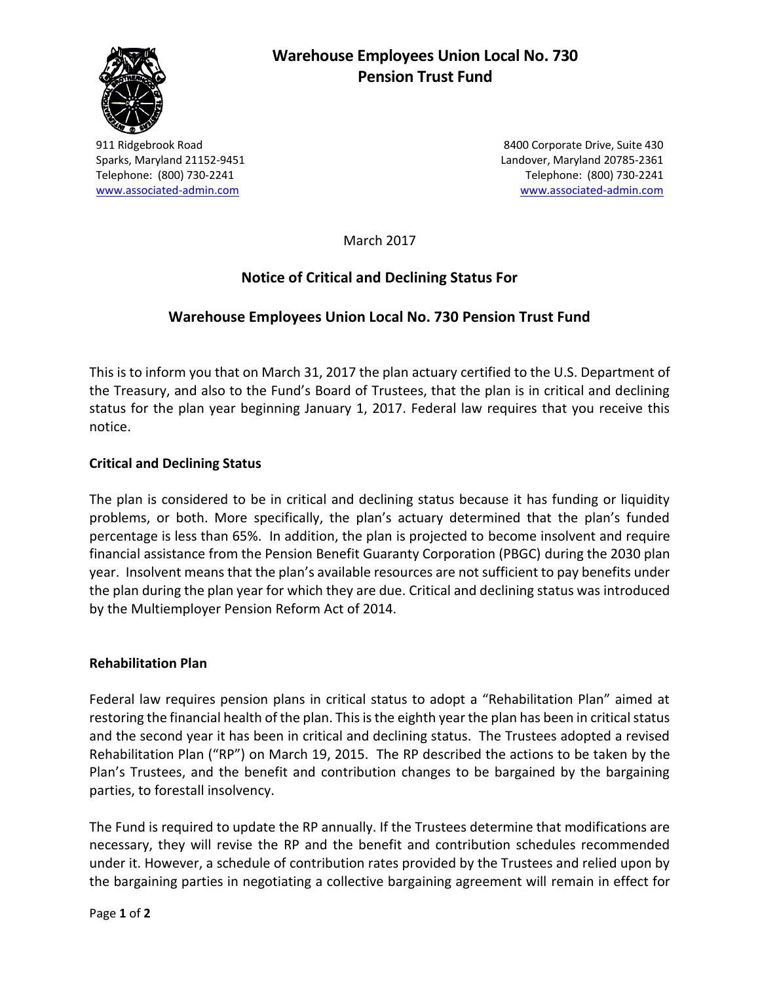

# **Warehouse Employees Union Local No. 730 Pension Trust Fund**

911 Ridgebrook Road 8400 Corporate Drive, Suite 430 Sparks, Maryland 21152-9451 Landover, Maryland 20785-2361 Telephone: (800) 730-2241 Telephone: (800) 730-2241 [www.associated-admin.com](http://www.associated-admin.com/) [www.associated-admin.com](http://www.associated-admin.com/) 

March 2017

## **Notice of Critical and Declining Status For**

## **Warehouse Employees Union Local No. 730 Pension Trust Fund**

This is to inform you that on March 31, 2017 the plan actuary certified to the U.S. Department of the Treasury, and also to the Fund's Board of Trustees, that the plan is in critical and declining status for the plan year beginning January 1, 2017. Federal law requires that you receive this notice.

#### **Critical and Declining Status**

The plan is considered to be in critical and declining status because it has funding or liquidity problems, or both. More specifically, the plan's actuary determined that the plan's funded percentage is less than 65%. In addition, the plan is projected to become insolvent and require financial assistance from the Pension Benefit Guaranty Corporation (PBGC) during the 2030 plan year. Insolvent means that the plan's available resources are not sufficient to pay benefits under the plan during the plan year for which they are due. Critical and declining status was introduced by the Multiemployer Pension Reform Act of 2014.

#### **Rehabilitation Plan**

Federal law requires pension plans in critical status to adopt a "Rehabilitation Plan" aimed at restoring the financial health of the plan. This is the eighth year the plan has been in critical status and the second year it has been in critical and declining status. The Trustees adopted a revised Rehabilitation Plan ("RP") on March 19, 2015. The RP described the actions to be taken by the Plan's Trustees, and the benefit and contribution changes to be bargained by the bargaining parties, to forestall insolvency.

The Fund is required to update the RP annually. If the Trustees determine that modifications are necessary, they will revise the RP and the benefit and contribution schedules recommended under it. However, a schedule of contribution rates provided by the Trustees and relied upon by the bargaining parties in negotiating a collective bargaining agreement will remain in effect for